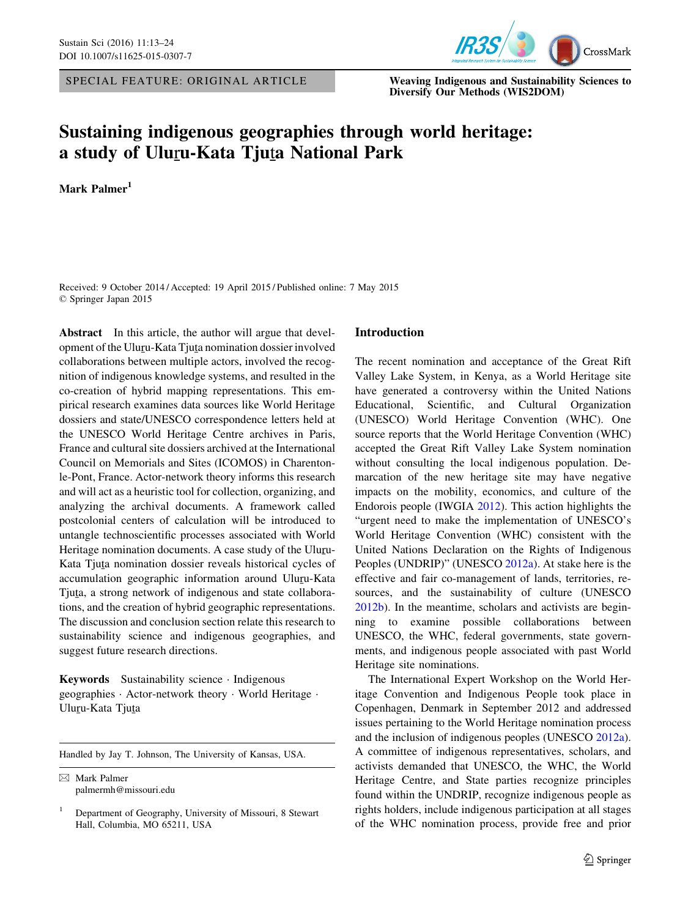SPECIAL FEATURE: ORIGINAL ARTICLE Weaving Indigenous and Sustainability Sciences to



Diversify Our Methods (WIS2DOM)

## Sustaining indigenous geographies through world heritage: a study of Uluru-Kata Tjuta National Park

Mark Palmer<sup>1</sup>

Received: 9 October 2014 / Accepted: 19 April 2015 / Published online: 7 May 2015 © Springer Japan 2015

Abstract In this article, the author will argue that development of the Uluru-Kata Tjuta nomination dossier involved<br>collaborations between multiple actors, involved the researcollaborations between multiple actors, involved the recognition of indigenous knowledge systems, and resulted in the co-creation of hybrid mapping representations. This empirical research examines data sources like World Heritage dossiers and state/UNESCO correspondence letters held at the UNESCO World Heritage Centre archives in Paris, France and cultural site dossiers archived at the International Council on Memorials and Sites (ICOMOS) in Charentonle-Pont, France. Actor-network theory informs this research and will act as a heuristic tool for collection, organizing, and analyzing the archival documents. A framework called postcolonial centers of calculation will be introduced to untangle technoscientific processes associated with World Heritage nomination documents. A case study of the Uluru-Kata Tjuta nomination dossier reveals historical cycles of<br>accumulation geographic information ground Ulum Kata accumulation geographic information around Uluru-Kata<br>Tiute e strong naturals of indicanous and state collabora Tjuta, a strong network of indigenous and state collabora-<br>tions, and the greation of bubrid geographic representations tions, and the creation of hybrid geographic representations. The discussion and conclusion section relate this research to sustainability science and indigenous geographies, and suggest future research directions.

Keywords Sustainability science · Indigenous geographies · Actor-network theory · World Heritage · Ulu<u>r</u>u-Kata Tju<u>t</u>a

Handled by Jay T. Johnson, The University of Kansas, USA.

& Mark Palmer palmermh@missouri.edu

#### Introduction

The recent nomination and acceptance of the Great Rift Valley Lake System, in Kenya, as a World Heritage site have generated a controversy within the United Nations Educational, Scientific, and Cultural Organization (UNESCO) World Heritage Convention (WHC). One source reports that the World Heritage Convention (WHC) accepted the Great Rift Valley Lake System nomination without consulting the local indigenous population. Demarcation of the new heritage site may have negative impacts on the mobility, economics, and culture of the Endorois people (IWGIA [2012\)](#page-10-0). This action highlights the "urgent need to make the implementation of UNESCO's World Heritage Convention (WHC) consistent with the United Nations Declaration on the Rights of Indigenous Peoples (UNDRIP)" (UNESCO [2012a](#page-11-0)). At stake here is the effective and fair co-management of lands, territories, resources, and the sustainability of culture (UNESCO [2012b](#page-11-0)). In the meantime, scholars and activists are beginning to examine possible collaborations between UNESCO, the WHC, federal governments, state governments, and indigenous people associated with past World Heritage site nominations.

The International Expert Workshop on the World Heritage Convention and Indigenous People took place in Copenhagen, Denmark in September 2012 and addressed issues pertaining to the World Heritage nomination process and the inclusion of indigenous peoples (UNESCO [2012a](#page-11-0)). A committee of indigenous representatives, scholars, and activists demanded that UNESCO, the WHC, the World Heritage Centre, and State parties recognize principles found within the UNDRIP, recognize indigenous people as rights holders, include indigenous participation at all stages of the WHC nomination process, provide free and prior

<sup>1</sup> Department of Geography, University of Missouri, 8 Stewart Hall, Columbia, MO 65211, USA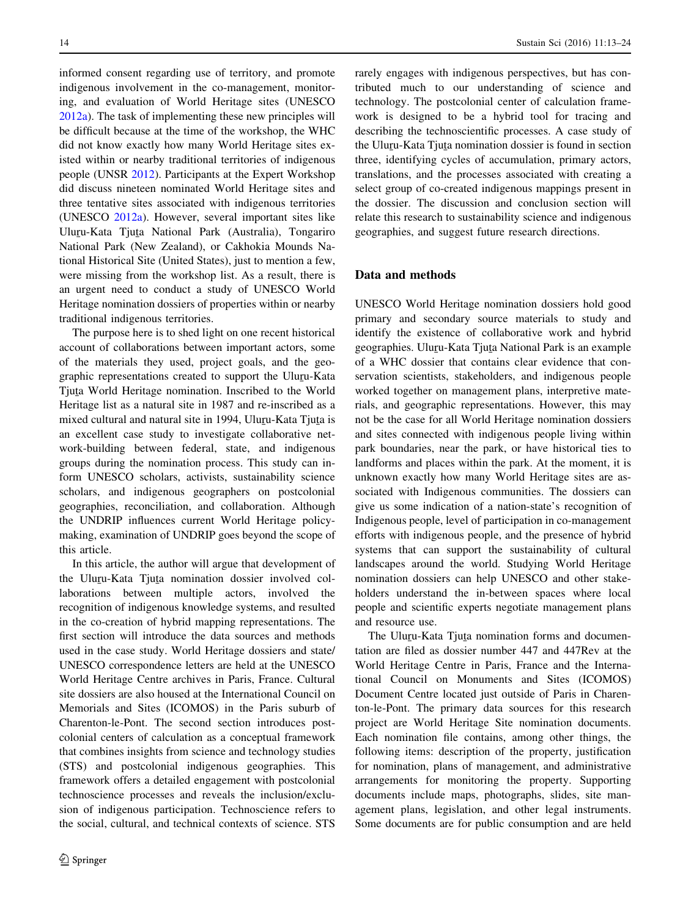informed consent regarding use of territory, and promote indigenous involvement in the co-management, monitoring, and evaluation of World Heritage sites (UNESCO [2012a](#page-11-0)). The task of implementing these new principles will be difficult because at the time of the workshop, the WHC did not know exactly how many World Heritage sites existed within or nearby traditional territories of indigenous people (UNSR [2012](#page-11-0)). Participants at the Expert Workshop did discuss nineteen nominated World Heritage sites and three tentative sites associated with indigenous territories (UNESCO [2012a\)](#page-11-0). However, several important sites like Ulu<u>r</u>u-Kata Tju<u>t</u>a National Park (Australia), Tongariro<br>National Park (Naw Zaaland) er Gakhakia Maunda Na National Park (New Zealand), or Cakhokia Mounds National Historical Site (United States), just to mention a few, were missing from the workshop list. As a result, there is an urgent need to conduct a study of UNESCO World Heritage nomination dossiers of properties within or nearby traditional indigenous territories.

The purpose here is to shed light on one recent historical account of collaborations between important actors, some of the materials they used, project goals, and the geographic representations created to support the Uluru-Kata<br>Tinta World Heritage nomination, Inscribed to the World Tjuta World Heritage nomination. Inscribed to the World<br>Heritage list as a natural site in 1987 and re-inscribed as a Heritage list as a natural site in 1987 and re-inscribed as a mixed cultural and natural site in 1994, Uluru-Kata Tjuta is<br>an excellent associately to investigate collaborative net an excellent case study to investigate collaborative network-building between federal, state, and indigenous groups during the nomination process. This study can inform UNESCO scholars, activists, sustainability science scholars, and indigenous geographers on postcolonial geographies, reconciliation, and collaboration. Although the UNDRIP influences current World Heritage policymaking, examination of UNDRIP goes beyond the scope of this article.

In this article, the author will argue that development of the Uluru-Kata Tjuta nomination dossier involved col-<br>leberations between multiple esters involved the laborations between multiple actors, involved the recognition of indigenous knowledge systems, and resulted in the co-creation of hybrid mapping representations. The first section will introduce the data sources and methods used in the case study. World Heritage dossiers and state/ UNESCO correspondence letters are held at the UNESCO World Heritage Centre archives in Paris, France. Cultural site dossiers are also housed at the International Council on Memorials and Sites (ICOMOS) in the Paris suburb of Charenton-le-Pont. The second section introduces postcolonial centers of calculation as a conceptual framework that combines insights from science and technology studies (STS) and postcolonial indigenous geographies. This framework offers a detailed engagement with postcolonial technoscience processes and reveals the inclusion/exclusion of indigenous participation. Technoscience refers to the social, cultural, and technical contexts of science. STS rarely engages with indigenous perspectives, but has contributed much to our understanding of science and technology. The postcolonial center of calculation framework is designed to be a hybrid tool for tracing and describing the technoscientific processes. A case study of the Uluru-Kata Tjuta nomination dossier is found in section<br>three identifying avales of accumulation, primery estate three, identifying cycles of accumulation, primary actors, translations, and the processes associated with creating a select group of co-created indigenous mappings present in the dossier. The discussion and conclusion section will relate this research to sustainability science and indigenous geographies, and suggest future research directions.

#### Data and methods

UNESCO World Heritage nomination dossiers hold good primary and secondary source materials to study and identify the existence of collaborative work and hybrid geographies. Uluru-Kata Tjuta National Park is an example<br>of a WHC dessier that contains along wideness that can of a WHC dossier that contains clear evidence that conservation scientists, stakeholders, and indigenous people worked together on management plans, interpretive materials, and geographic representations. However, this may not be the case for all World Heritage nomination dossiers and sites connected with indigenous people living within park boundaries, near the park, or have historical ties to landforms and places within the park. At the moment, it is unknown exactly how many World Heritage sites are associated with Indigenous communities. The dossiers can give us some indication of a nation-state's recognition of Indigenous people, level of participation in co-management efforts with indigenous people, and the presence of hybrid systems that can support the sustainability of cultural landscapes around the world. Studying World Heritage nomination dossiers can help UNESCO and other stakeholders understand the in-between spaces where local people and scientific experts negotiate management plans and resource use.

The Uluru-Kata Tjuta nomination forms and documen-<br>ion are filed as dossier number  $447$  and  $447\text{Rav}$  at the tation are filed as dossier number 447 and 447Rev at the World Heritage Centre in Paris, France and the International Council on Monuments and Sites (ICOMOS) Document Centre located just outside of Paris in Charenton-le-Pont. The primary data sources for this research project are World Heritage Site nomination documents. Each nomination file contains, among other things, the following items: description of the property, justification for nomination, plans of management, and administrative arrangements for monitoring the property. Supporting documents include maps, photographs, slides, site management plans, legislation, and other legal instruments. Some documents are for public consumption and are held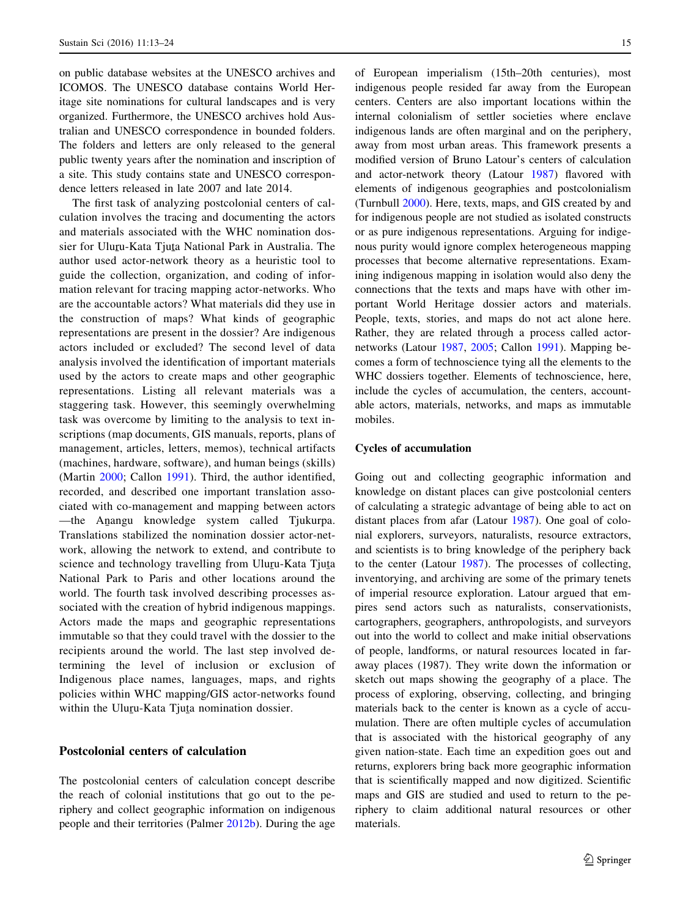on public database websites at the UNESCO archives and ICOMOS. The UNESCO database contains World Heritage site nominations for cultural landscapes and is very organized. Furthermore, the UNESCO archives hold Australian and UNESCO correspondence in bounded folders. The folders and letters are only released to the general public twenty years after the nomination and inscription of a site. This study contains state and UNESCO correspondence letters released in late 2007 and late 2014.

The first task of analyzing postcolonial centers of calculation involves the tracing and documenting the actors and materials associated with the WHC nomination dossier for Uluru-Kata Tjuta National Park in Australia. The<br>author, used actor naturals theory as a houristic tool to author used actor-network theory as a heuristic tool to guide the collection, organization, and coding of information relevant for tracing mapping actor-networks. Who are the accountable actors? What materials did they use in the construction of maps? What kinds of geographic representations are present in the dossier? Are indigenous actors included or excluded? The second level of data analysis involved the identification of important materials used by the actors to create maps and other geographic representations. Listing all relevant materials was a staggering task. However, this seemingly overwhelming task was overcome by limiting to the analysis to text inscriptions (map documents, GIS manuals, reports, plans of management, articles, letters, memos), technical artifacts (machines, hardware, software), and human beings (skills) (Martin [2000](#page-11-0); Callon [1991\)](#page-10-0). Third, the author identified, recorded, and described one important translation associated with co-management and mapping between actors —the Anangu knowledge system called Tjukurpa.<br>Translations stabilized the nomination dessier actor net. Translations stabilized the nomination dossier actor-network, allowing the network to extend, and contribute to science and technology travelling from Uluru-Kata Tjuta<br>National Bark to Baris and other locations around the National Park to Paris and other locations around the world. The fourth task involved describing processes associated with the creation of hybrid indigenous mappings. Actors made the maps and geographic representations immutable so that they could travel with the dossier to the recipients around the world. The last step involved determining the level of inclusion or exclusion of Indigenous place names, languages, maps, and rights policies within WHC mapping/GIS actor-networks found within the Uluru-Kata Tjuta nomination dossier.

#### Postcolonial centers of calculation

The postcolonial centers of calculation concept describe the reach of colonial institutions that go out to the periphery and collect geographic information on indigenous people and their territories (Palmer [2012b](#page-11-0)). During the age of European imperialism (15th–20th centuries), most indigenous people resided far away from the European centers. Centers are also important locations within the internal colonialism of settler societies where enclave indigenous lands are often marginal and on the periphery, away from most urban areas. This framework presents a modified version of Bruno Latour's centers of calculation and actor-network theory (Latour [1987\)](#page-11-0) flavored with elements of indigenous geographies and postcolonialism (Turnbull [2000](#page-11-0)). Here, texts, maps, and GIS created by and for indigenous people are not studied as isolated constructs or as pure indigenous representations. Arguing for indigenous purity would ignore complex heterogeneous mapping processes that become alternative representations. Examining indigenous mapping in isolation would also deny the connections that the texts and maps have with other important World Heritage dossier actors and materials. People, texts, stories, and maps do not act alone here. Rather, they are related through a process called actornetworks (Latour [1987,](#page-11-0) [2005;](#page-11-0) Callon [1991](#page-10-0)). Mapping becomes a form of technoscience tying all the elements to the WHC dossiers together. Elements of technoscience, here, include the cycles of accumulation, the centers, accountable actors, materials, networks, and maps as immutable mobiles.

#### Cycles of accumulation

Going out and collecting geographic information and knowledge on distant places can give postcolonial centers of calculating a strategic advantage of being able to act on distant places from afar (Latour [1987](#page-11-0)). One goal of colonial explorers, surveyors, naturalists, resource extractors, and scientists is to bring knowledge of the periphery back to the center (Latour [1987](#page-11-0)). The processes of collecting, inventorying, and archiving are some of the primary tenets of imperial resource exploration. Latour argued that empires send actors such as naturalists, conservationists, cartographers, geographers, anthropologists, and surveyors out into the world to collect and make initial observations of people, landforms, or natural resources located in faraway places (1987). They write down the information or sketch out maps showing the geography of a place. The process of exploring, observing, collecting, and bringing materials back to the center is known as a cycle of accumulation. There are often multiple cycles of accumulation that is associated with the historical geography of any given nation-state. Each time an expedition goes out and returns, explorers bring back more geographic information that is scientifically mapped and now digitized. Scientific maps and GIS are studied and used to return to the periphery to claim additional natural resources or other materials.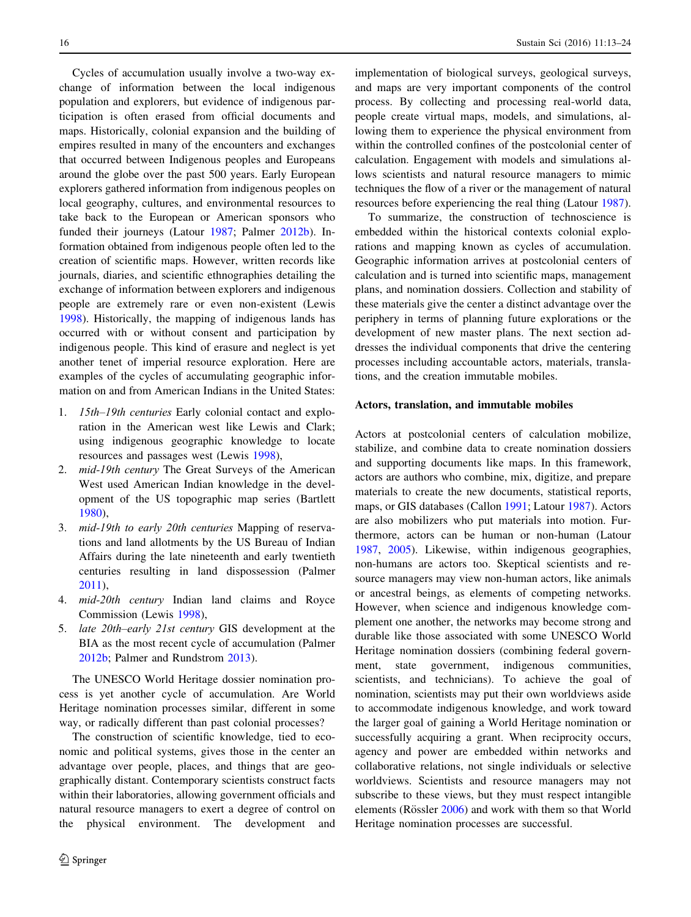Cycles of accumulation usually involve a two-way exchange of information between the local indigenous population and explorers, but evidence of indigenous participation is often erased from official documents and maps. Historically, colonial expansion and the building of empires resulted in many of the encounters and exchanges that occurred between Indigenous peoples and Europeans around the globe over the past 500 years. Early European explorers gathered information from indigenous peoples on local geography, cultures, and environmental resources to take back to the European or American sponsors who funded their journeys (Latour [1987](#page-11-0); Palmer [2012b\)](#page-11-0). Information obtained from indigenous people often led to the creation of scientific maps. However, written records like journals, diaries, and scientific ethnographies detailing the exchange of information between explorers and indigenous people are extremely rare or even non-existent (Lewis [1998\)](#page-11-0). Historically, the mapping of indigenous lands has occurred with or without consent and participation by indigenous people. This kind of erasure and neglect is yet another tenet of imperial resource exploration. Here are examples of the cycles of accumulating geographic information on and from American Indians in the United States:

- 1. 15th–19th centuries Early colonial contact and exploration in the American west like Lewis and Clark; using indigenous geographic knowledge to locate resources and passages west (Lewis [1998\)](#page-11-0),
- 2. mid-19th century The Great Surveys of the American West used American Indian knowledge in the development of the US topographic map series (Bartlett [1980](#page-10-0)),
- 3. mid-19th to early 20th centuries Mapping of reservations and land allotments by the US Bureau of Indian Affairs during the late nineteenth and early twentieth centuries resulting in land dispossession (Palmer [2011](#page-11-0)),
- 4. mid-20th century Indian land claims and Royce Commission (Lewis [1998\)](#page-11-0),
- 5. late 20th–early 21st century GIS development at the BIA as the most recent cycle of accumulation (Palmer [2012b](#page-11-0); Palmer and Rundstrom [2013](#page-11-0)).

The UNESCO World Heritage dossier nomination process is yet another cycle of accumulation. Are World Heritage nomination processes similar, different in some way, or radically different than past colonial processes?

The construction of scientific knowledge, tied to economic and political systems, gives those in the center an advantage over people, places, and things that are geographically distant. Contemporary scientists construct facts within their laboratories, allowing government officials and natural resource managers to exert a degree of control on the physical environment. The development and implementation of biological surveys, geological surveys, and maps are very important components of the control process. By collecting and processing real-world data, people create virtual maps, models, and simulations, allowing them to experience the physical environment from within the controlled confines of the postcolonial center of calculation. Engagement with models and simulations allows scientists and natural resource managers to mimic techniques the flow of a river or the management of natural resources before experiencing the real thing (Latour [1987](#page-11-0)).

To summarize, the construction of technoscience is embedded within the historical contexts colonial explorations and mapping known as cycles of accumulation. Geographic information arrives at postcolonial centers of calculation and is turned into scientific maps, management plans, and nomination dossiers. Collection and stability of these materials give the center a distinct advantage over the periphery in terms of planning future explorations or the development of new master plans. The next section addresses the individual components that drive the centering processes including accountable actors, materials, translations, and the creation immutable mobiles.

#### Actors, translation, and immutable mobiles

Actors at postcolonial centers of calculation mobilize, stabilize, and combine data to create nomination dossiers and supporting documents like maps. In this framework, actors are authors who combine, mix, digitize, and prepare materials to create the new documents, statistical reports, maps, or GIS databases (Callon [1991](#page-10-0); Latour [1987](#page-11-0)). Actors are also mobilizers who put materials into motion. Furthermore, actors can be human or non-human (Latour [1987](#page-11-0), [2005\)](#page-11-0). Likewise, within indigenous geographies, non-humans are actors too. Skeptical scientists and resource managers may view non-human actors, like animals or ancestral beings, as elements of competing networks. However, when science and indigenous knowledge complement one another, the networks may become strong and durable like those associated with some UNESCO World Heritage nomination dossiers (combining federal government, state government, indigenous communities, scientists, and technicians). To achieve the goal of nomination, scientists may put their own worldviews aside to accommodate indigenous knowledge, and work toward the larger goal of gaining a World Heritage nomination or successfully acquiring a grant. When reciprocity occurs, agency and power are embedded within networks and collaborative relations, not single individuals or selective worldviews. Scientists and resource managers may not subscribe to these views, but they must respect intangible elements (Rössler  $2006$ ) and work with them so that World Heritage nomination processes are successful.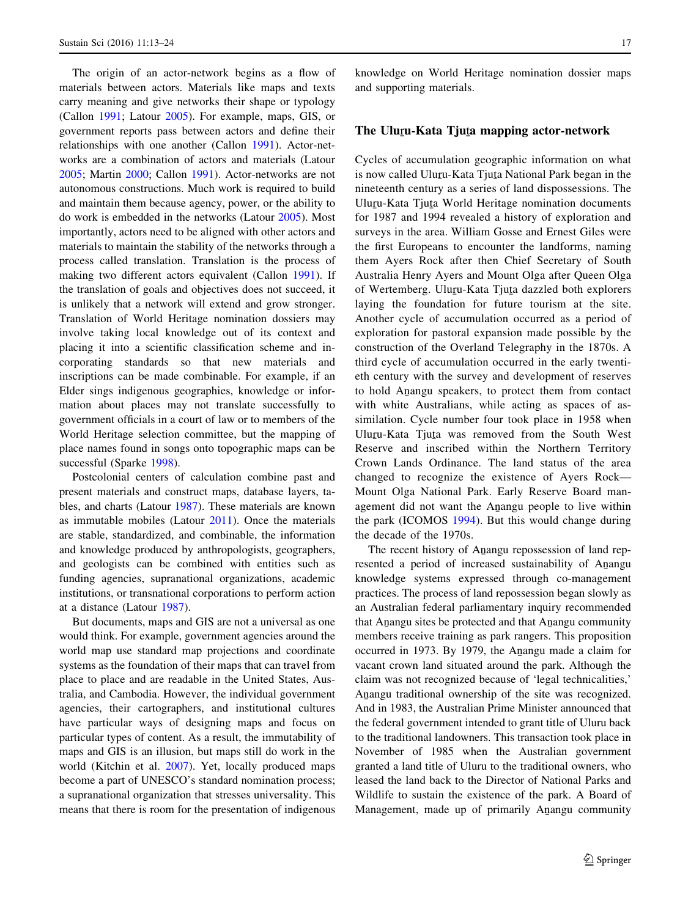The origin of an actor-network begins as a flow of materials between actors. Materials like maps and texts carry meaning and give networks their shape or typology (Callon [1991](#page-10-0); Latour [2005](#page-11-0)). For example, maps, GIS, or government reports pass between actors and define their relationships with one another (Callon [1991](#page-10-0)). Actor-networks are a combination of actors and materials (Latour [2005;](#page-11-0) Martin [2000](#page-11-0); Callon [1991\)](#page-10-0). Actor-networks are not autonomous constructions. Much work is required to build and maintain them because agency, power, or the ability to do work is embedded in the networks (Latour [2005\)](#page-11-0). Most importantly, actors need to be aligned with other actors and materials to maintain the stability of the networks through a process called translation. Translation is the process of making two different actors equivalent (Callon [1991](#page-10-0)). If the translation of goals and objectives does not succeed, it is unlikely that a network will extend and grow stronger. Translation of World Heritage nomination dossiers may involve taking local knowledge out of its context and placing it into a scientific classification scheme and incorporating standards so that new materials and inscriptions can be made combinable. For example, if an Elder sings indigenous geographies, knowledge or information about places may not translate successfully to government officials in a court of law or to members of the World Heritage selection committee, but the mapping of place names found in songs onto topographic maps can be successful (Sparke [1998\)](#page-11-0).

Postcolonial centers of calculation combine past and present materials and construct maps, database layers, tables, and charts (Latour [1987\)](#page-11-0). These materials are known as immutable mobiles (Latour [2011\)](#page-11-0). Once the materials are stable, standardized, and combinable, the information and knowledge produced by anthropologists, geographers, and geologists can be combined with entities such as funding agencies, supranational organizations, academic institutions, or transnational corporations to perform action at a distance (Latour [1987\)](#page-11-0).

But documents, maps and GIS are not a universal as one would think. For example, government agencies around the world map use standard map projections and coordinate systems as the foundation of their maps that can travel from place to place and are readable in the United States, Australia, and Cambodia. However, the individual government agencies, their cartographers, and institutional cultures have particular ways of designing maps and focus on particular types of content. As a result, the immutability of maps and GIS is an illusion, but maps still do work in the world (Kitchin et al. [2007\)](#page-11-0). Yet, locally produced maps become a part of UNESCO's standard nomination process; a supranational organization that stresses universality. This means that there is room for the presentation of indigenous

knowledge on World Heritage nomination dossier maps and supporting materials.

#### The Uluṟu-Kata Tjuṯa mapping actor-network

Cycles of accumulation geographic information on what is now called Uluru-Kata Tjuta National Park began in the<br>ninateanth century as a series of land dispossessions. The nineteenth century as a series of land dispossessions. The Uluru-Kata Tjuta World Heritage nomination documents<br>for 1987 and 1994 revealed a history of exploration and for 1987 and 1994 revealed a history of exploration and surveys in the area. William Gosse and Ernest Giles were the first Europeans to encounter the landforms, naming them Ayers Rock after then Chief Secretary of South Australia Henry Ayers and Mount Olga after Queen Olga of Wertemberg. Uluru-Kata Tjuta dazzled both explorers<br>laving the foundation for future tourism at the site laying the foundation for future tourism at the site. Another cycle of accumulation occurred as a period of exploration for pastoral expansion made possible by the construction of the Overland Telegraphy in the 1870s. A third cycle of accumulation occurred in the early twentieth century with the survey and development of reserves to hold Anangu speakers, to protect them from contact<br>with white Australians, while esting as speece of as with white Australians, while acting as spaces of assimilation. Cycle number four took place in 1958 when Uluru-Kata Tjuta was removed from the South West Reserve and inscribed within the Northern Territory Crown Lands Ordinance. The land status of the area changed to recognize the existence of Ayers Rock— Mount Olga National Park. Early Reserve Board management did not want the Anangu people to live within<br>the perk (ICOMOS 1004). But this would abange during the park (ICOMOS [1994](#page-10-0)). But this would change during the decade of the 1970s.

The recent history of Anangu repossession of land rep-<br>central a period of increased quotainshility of Anangu resented a period of increased sustainability of Anangu knowledge systems expressed through co-management practices. The process of land repossession began slowly as an Australian federal parliamentary inquiry recommended that Anangu sites be protected and that Anangu community<br>members require training as perk rengers. This proposition members receive training as park rangers. This proposition occurred in 1973. By 1979, the Anangu made a claim for<br>vegent group land gituated ground the park. Although the vacant crown land situated around the park. Although the claim was not recognized because of 'legal technicalities,' Anangu traditional ownership of the site was recognized.<br>And in 1083, the Australian Prime Minister announced that And in 1983, the Australian Prime Minister announced that the federal government intended to grant title of Uluru back to the traditional landowners. This transaction took place in November of 1985 when the Australian government granted a land title of Uluru to the traditional owners, who leased the land back to the Director of National Parks and Wildlife to sustain the existence of the park. A Board of Management, made up of primarily Anangu community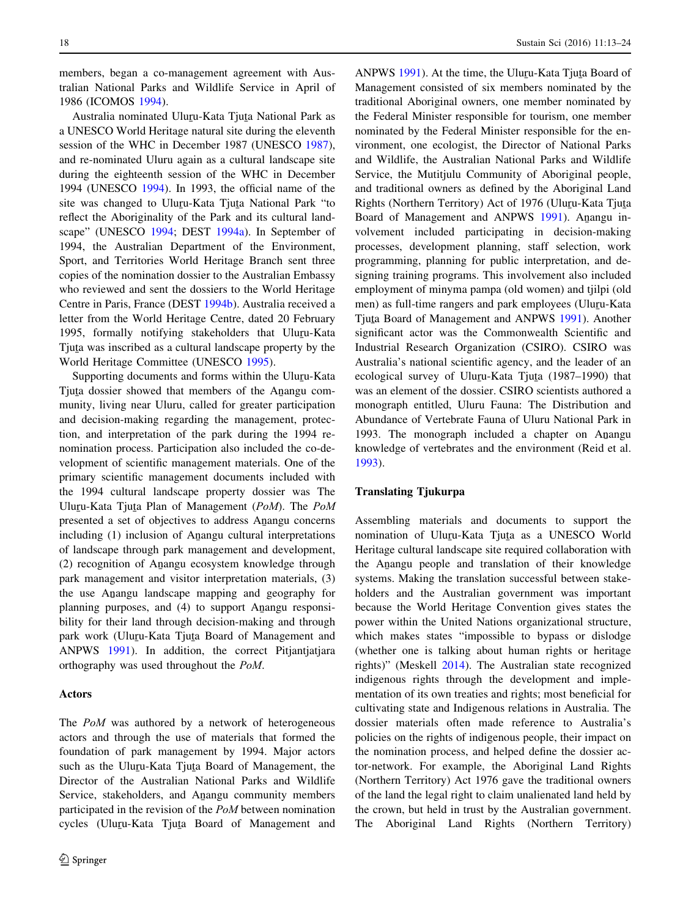members, began a co-management agreement with Australian National Parks and Wildlife Service in April of 1986 (ICOMOS [1994\)](#page-10-0).

Australia nominated Ulu<u>r</u>u-Kata Tju<u>t</u>a National Park as<br>INESCO World Heritage natural site during the eleventh a UNESCO World Heritage natural site during the eleventh session of the WHC in December 1987 (UNESCO [1987](#page-11-0)), and re-nominated Uluru again as a cultural landscape site during the eighteenth session of the WHC in December 1994 (UNESCO [1994\)](#page-11-0). In 1993, the official name of the site was changed to Uluru-Kata Tjuta National Park "to<br>reflect the Abericinelity of the Park and its sultural land reflect the Aboriginality of the Park and its cultural landscape" (UNESCO [1994;](#page-11-0) DEST [1994a\)](#page-10-0). In September of 1994, the Australian Department of the Environment, Sport, and Territories World Heritage Branch sent three copies of the nomination dossier to the Australian Embassy who reviewed and sent the dossiers to the World Heritage Centre in Paris, France (DEST [1994b\)](#page-10-0). Australia received a letter from the World Heritage Centre, dated 20 February 1995, formally notifying stakeholders that Uluru-Kata<br>Tinta was inscribed as a cultural landscape property by the Tjuta was inscribed as a cultural landscape property by the<br>World Heritage Committee (UNESCO 1905) World Heritage Committee (UNESCO [1995](#page-11-0)).

Supporting documents and forms within the Uluru-Kata Tjuta dossier showed that members of the Anangu com-<br>munity living near Ulum, called for graster pertinipation munity, living near Uluru, called for greater participation and decision-making regarding the management, protection, and interpretation of the park during the 1994 renomination process. Participation also included the co-development of scientific management materials. One of the primary scientific management documents included with the 1994 cultural landscape property dossier was The Uluru-Kata Tjuta Plan of Management (PoM). The PoM<br>presented a set of objectives to address Apapeu concerns presented a set of objectives to address Anangu concerns<br>including (1) inclusion of Anangu cultural interpretations including (1) inclusion of Anangu cultural interpretations<br>of landssens through negls management and davalanment of landscape through park management and development,  $(2)$  recognition of Anangu ecosystem knowledge through neck management and visitor intermetation materials  $(3)$ park management and visitor interpretation materials, (3) the use Anangu landscape mapping and geography for<br>planning purposes, and  $(4)$  to support Anangu responsi planning purposes, and (4) to support Anangu responsi-<br>hility for their land through decision making and through bility for their land through decision-making and through park work (Uluru-Kata Tjuta Board of Management and<br>ANDWS 1001). In addition, the correct Difentiations ANPWS [1991\)](#page-11-0). In addition, the correct Pitjantjatjara orthography was used throughout the PoM.

#### Actors

The PoM was authored by a network of heterogeneous actors and through the use of materials that formed the foundation of park management by 1994. Major actors such as the Uluru-Kata Tjuta Board of Management, the<br>Director of the Australian National Borks and Wildlife Director of the Australian National Parks and Wildlife Service, stakeholders, and Anangu community members<br>perficiented in the rayisian of the ReM between nomination participated in the revision of the PoM between nomination cycles (Ulu<u>r</u>u-Kata Tju<u>t</u>a Board of Management and

ANPWS [1991\)](#page-11-0). At the time, the Uluru-Kata Tjuta Board of  $\alpha$  and  $\alpha$  are non-Management consisted of six members nominated by the traditional Aboriginal owners, one member nominated by the Federal Minister responsible for tourism, one member nominated by the Federal Minister responsible for the environment, one ecologist, the Director of National Parks and Wildlife, the Australian National Parks and Wildlife Service, the Mutitiulu Community of Aboriginal people, and traditional owners as defined by the Aboriginal Land Rights (Northern Territory) Act of 1976 (Uluru-Kata Tjuta<br>Recal of Managament and ANDWS 1001), Anangy in Board of Management and ANPWS [1991\)](#page-11-0). Anangu involvement included participating in decision-making processes, development planning, staff selection, work programming, planning for public interpretation, and designing training programs. This involvement also included employment of minyma pampa (old women) and tjilpi (old men) as full-time rangers and park employees (Uluru-Kata<br>Tinta Board of Managamant and ANDWS 1001), Another Tjuta Board of Management and ANPWS [1991](#page-11-0)). Another<br>cignificant actor, was the Commonwealth Scientific and significant actor was the Commonwealth Scientific and Industrial Research Organization (CSIRO). CSIRO was Australia's national scientific agency, and the leader of an ecological survey of Uluru-Kata Tjuta (1987–1990) that<br>was an element of the dessier, CSIPO scientists suthered a was an element of the dossier. CSIRO scientists authored a monograph entitled, Uluru Fauna: The Distribution and Abundance of Vertebrate Fauna of Uluru National Park in 1993. The monograph included a chapter on Anangular provided a chapter of the environment (Boid at al. knowledge of vertebrates and the environment (Reid et al. [1993](#page-11-0)).

#### Translating Tjukurpa

Assembling materials and documents to support the nomination of Uluru-Kata Tjuta as a UNESCO World Heritage cultural landscape site required collaboration with the Anangu people and translation of their knowledge<br>automa Making the translation successful between stake systems. Making the translation successful between stakeholders and the Australian government was important because the World Heritage Convention gives states the power within the United Nations organizational structure, which makes states "impossible to bypass or dislodge (whether one is talking about human rights or heritage rights)" (Meskell [2014](#page-11-0)). The Australian state recognized indigenous rights through the development and implementation of its own treaties and rights; most beneficial for cultivating state and Indigenous relations in Australia. The dossier materials often made reference to Australia's policies on the rights of indigenous people, their impact on the nomination process, and helped define the dossier actor-network. For example, the Aboriginal Land Rights (Northern Territory) Act 1976 gave the traditional owners of the land the legal right to claim unalienated land held by the crown, but held in trust by the Australian government. The Aboriginal Land Rights (Northern Territory)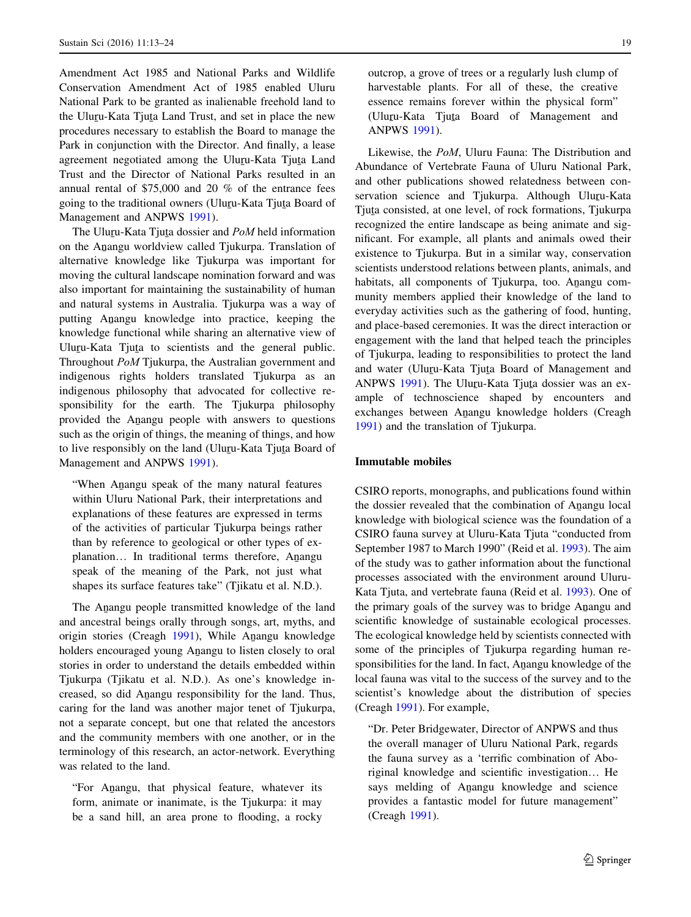Amendment Act 1985 and National Parks and Wildlife Conservation Amendment Act of 1985 enabled Uluru National Park to be granted as inalienable freehold land to the Uluru-Kata Tjuta Land Trust, and set in place the new<br>procedures peacesery to establish the Board to manage the procedures necessary to establish the Board to manage the Park in conjunction with the Director. And finally, a lease agreement negotiated among the Uluru-Kata Tjuta Land<br>Trust and the Director of National Barks resulted in an Trust and the Director of National Parks resulted in an annual rental of \$75,000 and 20 % of the entrance fees going to the traditional owners (Uluru-Kata Tjuta Board of<br>Managament and ANDWS 1001) Management and ANPWS [1991\)](#page-11-0).

The Uluru-Kata Tjuta dossier and *PoM* held information<br>the Anangu worldview called Tiulayne, Translation of on the Anangu worldview called Tjukurpa. Translation of<br>alternative knowledge like Tjukurpa was important for alternative knowledge like Tjukurpa was important for moving the cultural landscape nomination forward and was also important for maintaining the sustainability of human and natural systems in Australia. Tjukurpa was a way of putting Anangu knowledge into practice, keeping the<br>knowledge functional while shering an alternative view of knowledge functional while sharing an alternative view of Uluru-Kata Tjuta to scientists and the general public.<br>Throughout  $P_0M$ Tiulurne the Australian covernment and Throughout PoM Tjukurpa, the Australian government and indigenous rights holders translated Tjukurpa as an indigenous philosophy that advocated for collective responsibility for the earth. The Tjukurpa philosophy provided the Anangu people with answers to questions<br>angle as the origin of things, the meaning of things, and hour such as the origin of things, the meaning of things, and how to live responsibly on the land (Ulu<u>r</u>u-Kata Tju<u>t</u>a Board of<br>Managament and ANDWS 1001) Management and ANPWS [1991\)](#page-11-0).

When Anangu speak of the many natural features<br>within Ulum National Bark their interpretations and within Uluru National Park, their interpretations and explanations of these features are expressed in terms of the activities of particular Tjukurpa beings rather than by reference to geological or other types of explanation... In traditional terms therefore, Anangu speak of the meaning of the Park, not just what shapes its surface features take" (Tjikatu et al. N.D.).

The Anangu people transmitted knowledge of the land<br>dependence of the land and ancestral beings orally through songs, art, myths, and origin stories (Creagh [1991](#page-10-0)), While Anangu knowledge<br>halders angouraged young Anangu to listen alocaly to argu holders encouraged young Anangu to listen closely to oral<br>atorize in order to understand the details embedded within stories in order to understand the details embedded within Tjukurpa (Tjikatu et al. N.D.). As one's knowledge increased, so did Anangu responsibility for the land. Thus,<br>coring for the land was another major tanet of Tiukurne. caring for the land was another major tenet of Tjukurpa, not a separate concept, but one that related the ancestors and the community members with one another, or in the terminology of this research, an actor-network. Everything was related to the land.

"For Anangu, that physical feature, whatever its<br>form enjmate or incrimete is the Tiploumer it move form, animate or inanimate, is the Tjukurpa: it may be a sand hill, an area prone to flooding, a rocky outcrop, a grove of trees or a regularly lush clump of harvestable plants. For all of these, the creative essence remains forever within the physical form"  $(Uluru-Kata$  Tjuta Board of Management and ANPWS [1991\)](#page-11-0).

Likewise, the PoM, Uluru Fauna: The Distribution and Abundance of Vertebrate Fauna of Uluru National Park, and other publications showed relatedness between conservation science and Tjukurpa. Although Uluru-Kata Tjuta consisted, at one level, of rock formations, Tjukurpa<br>recognized the ontire landscene as heing enimete and sigrecognized the entire landscape as being animate and significant. For example, all plants and animals owed their existence to Tjukurpa. But in a similar way, conservation scientists understood relations between plants, animals, and habitats, all components of Tjukurpa, too. Anangu community members applied their knowledge of the land to everyday activities such as the gathering of food, hunting, and place-based ceremonies. It was the direct interaction or engagement with the land that helped teach the principles of Tjukurpa, leading to responsibilities to protect the land and water (Uluru-Kata Tjuta Board of Management and<br>ANDWS 1001) The Uluru Kata Tiute dessier was an av ANPWS [1991\)](#page-11-0). The Uluru-Kata Tjuta dossier was an example of technoscience shaped by encounters and exchanges between Anangu knowledge holders (Creagh<br>1991) and the translation of Tiploume [1991](#page-10-0)) and the translation of Tjukurpa.

#### Immutable mobiles

CSIRO reports, monographs, and publications found within the dossier revealed that the combination of Anangu local<br>knowledge with higherical science was the foundation of a knowledge with biological science was the foundation of a CSIRO fauna survey at Uluru-Kata Tjuta "conducted from September 1987 to March 1990" (Reid et al. [1993](#page-11-0)). The aim of the study was to gather information about the functional processes associated with the environment around Uluru-Kata Tjuta, and vertebrate fauna (Reid et al. [1993\)](#page-11-0). One of the primary goals of the survey was to bridge Anangu and<br>covertific Incursively as exploring and processes scientific knowledge of sustainable ecological processes. The ecological knowledge held by scientists connected with some of the principles of Tjukurpa regarding human responsibilities for the land. In fact, Anangu knowledge of the<br>local fauna was with to the suggests of the survey and to the local fauna was vital to the success of the survey and to the scientist's knowledge about the distribution of species (Creagh [1991\)](#page-10-0). For example,

"Dr. Peter Bridgewater, Director of ANPWS and thus the overall manager of Uluru National Park, regards the fauna survey as a 'terrific combination of Aboriginal knowledge and scientific investigation… He says melding of Anangu knowledge and science<br>maxidae a fortatio model for future management" provides a fantastic model for future management" (Creagh [1991\)](#page-10-0).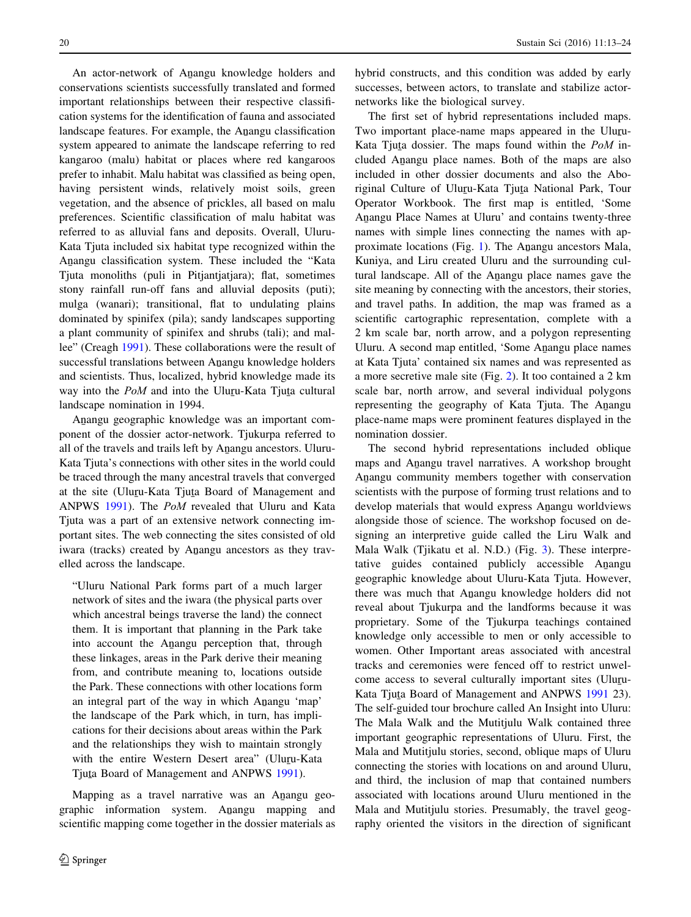An actor-network of Anangu knowledge holders and<br>asservations scientists successfully translated and formed conservations scientists successfully translated and formed important relationships between their respective classification systems for the identification of fauna and associated landscape features. For example, the Anangu classification<br>autom anneared to animate the landscape referring to red system appeared to animate the landscape referring to red kangaroo (malu) habitat or places where red kangaroos prefer to inhabit. Malu habitat was classified as being open, having persistent winds, relatively moist soils, green vegetation, and the absence of prickles, all based on malu preferences. Scientific classification of malu habitat was referred to as alluvial fans and deposits. Overall, Uluru-Kata Tjuta included six habitat type recognized within the Anangu classification system. These included the "Kata"<br>Tivta monolithe (puli in Ditiontiation), flat, comptimes Tjuta monoliths (puli in Pitjantjatjara); flat, sometimes stony rainfall run-off fans and alluvial deposits (puti); mulga (wanari); transitional, flat to undulating plains dominated by spinifex (pila); sandy landscapes supporting a plant community of spinifex and shrubs (tali); and mallee" (Creagh [1991\)](#page-10-0). These collaborations were the result of successful translations between Anangu knowledge holders<br>and scientists. Thus, localized, bubrid knowledge made its and scientists. Thus, localized, hybrid knowledge made its way into the  $PoM$  and into the Uluru-Kata Tjuta cultural<br>landscape nomination in  $1004$ landscape nomination in 1994.

Anangu geographic knowledge was an important component of the dossier actor-network. Tjukurpa referred to all of the travels and trails left by Anangu ancestors. Uluru-<br>Keta Tiuta's connections with other sites in the world could Kata Tjuta's connections with other sites in the world could be traced through the many ancestral travels that converged at the site (Uluru-Kata Tjuta Board of Management and<br>ANDWS 1001). The *BoM* revealed that Hurn and Kata ANPWS [1991](#page-11-0)). The PoM revealed that Uluru and Kata Tjuta was a part of an extensive network connecting important sites. The web connecting the sites consisted of old iwara (tracks) created by Anangu ancestors as they travelled across the landscape.

"Uluru National Park forms part of a much larger network of sites and the iwara (the physical parts over which ancestral beings traverse the land) the connect them. It is important that planning in the Park take into account the Anangu perception that, through<br>these links as ages in the Bark darius their meaning these linkages, areas in the Park derive their meaning from, and contribute meaning to, locations outside the Park. These connections with other locations form an integral part of the way in which Anangu 'map'<br>the landscape of the Dark which in turn has implithe landscape of the Park which, in turn, has implications for their decisions about areas within the Park and the relationships they wish to maintain strongly with the entire Western Desert area" (Uluru-Kata<br>Tiute Board of Managamant and ANDWS 1001) Tju<u>t</u>a Board of Management and ANPWS [1991\)](#page-11-0).

Mapping as a travel narrative was an Anangu geographic information system. Anangu mapping and<br>cointific mapping some together in the dessier materials as scientific mapping come together in the dossier materials as hybrid constructs, and this condition was added by early successes, between actors, to translate and stabilize actornetworks like the biological survey.

The first set of hybrid representations included maps. Two important place-name maps appeared in the Uluru-<br>Keta Tinta descient The maps found within the  $B_2M$  in Kata Tjuta dossier. The maps found within the  $PoM$  included Anangu place names. Both of the maps are also<br>included in other dessier desuments and also the Abe included in other dossier documents and also the Aboriginal Culture of Uluru-Kata Tjuta National Park, Tour<br>Operator Werkbook, The first map is entitled 'Some Operator Workbook. The first map is entitled, 'Some Anangu Place Names at Uluru' and contains twenty-three<br>names with simple lines connecting the names with an names with simple lines connecting the names with ap-proximate locations (Fig. [1](#page-8-0)). The Anangu ancestors Mala,<br>Kunive, and Linu apated Huru and the surrounding au Kuniya, and Liru created Uluru and the surrounding cultural landscape. All of the Anangu place names gave the site meaning by connecting with the angestors, their stories site meaning by connecting with the ancestors, their stories, and travel paths. In addition, the map was framed as a scientific cartographic representation, complete with a 2 km scale bar, north arrow, and a polygon representing Uluru. A second map entitled, 'Some Anangu place names<br>at Kata Tiuta' contained six names and was represented as at Kata Tjuta' contained six names and was represented as a more secretive male site (Fig. [2](#page-8-0)). It too contained a 2 km scale bar, north arrow, and several individual polygons representing the geography of Kata Tjuta. The Anangu<br>place name mans were prominent features displayed in the place-name maps were prominent features displayed in the nomination dossier.

The second hybrid representations included oblique maps and Anangu travel narratives. A workshop brought<br>Anongu community members together with conservation Anangu community members together with conservation<br>cointiets with the purpose of forming trust relations and to scientists with the purpose of forming trust relations and to develop materials that would express Anangu worldviews<br>alongside these of science. The workshop focused on dealongside those of science. The workshop focused on designing an interpretive guide called the Liru Walk and Mala Walk (Tjikatu et al. N.D.) (Fig. [3](#page-9-0)). These interpretative guides contained publicly accessible Anangu<br>coographic knowledge show Ulum Kete Tinta However geographic knowledge about Uluru-Kata Tjuta. However, there was much that Anangu knowledge holders did not<br>reveal about Tiulaures and the landforms because it west reveal about Tjukurpa and the landforms because it was proprietary. Some of the Tjukurpa teachings contained knowledge only accessible to men or only accessible to women. Other Important areas associated with ancestral tracks and ceremonies were fenced off to restrict unwelcome access to several culturally important sites (Ulugu-Kata Tjuta Board of Management and ANPWS [1991](#page-11-0) 23).<br>The self quided tour brochure celled An Insight into Ulumn The self-guided tour brochure called An Insight into Uluru: The Mala Walk and the Mutitjulu Walk contained three important geographic representations of Uluru. First, the Mala and Mutitjulu stories, second, oblique maps of Uluru connecting the stories with locations on and around Uluru, and third, the inclusion of map that contained numbers associated with locations around Uluru mentioned in the Mala and Mutitjulu stories. Presumably, the travel geography oriented the visitors in the direction of significant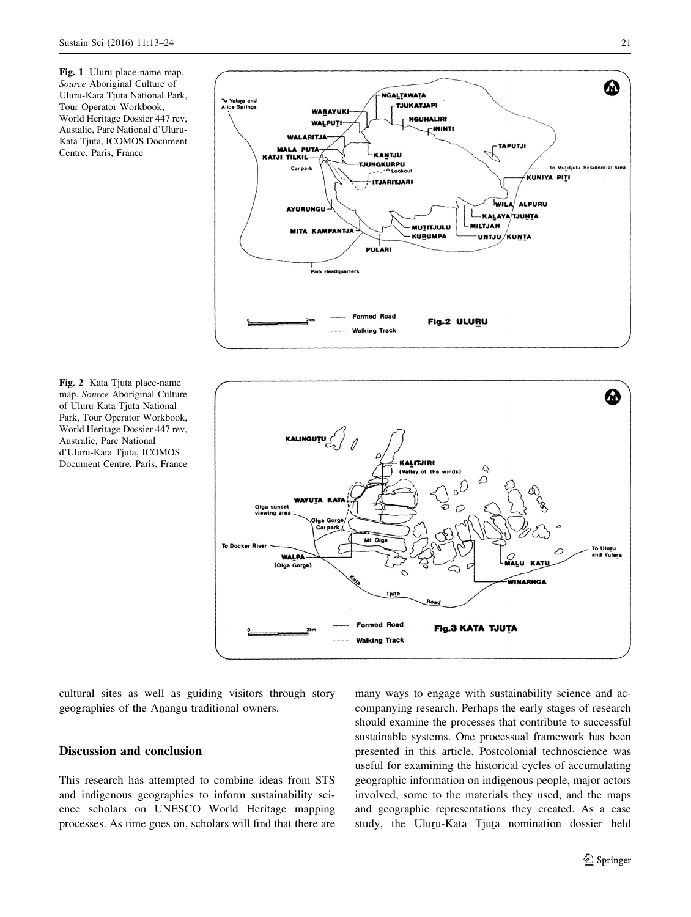<span id="page-8-0"></span>Fig. 1 Uluru place-name map. Source Aboriginal Culture of Uluru-Kata Tjuta National Park, Tour Operator Workbook, World Heritage Dossier 447 rev, Austalie, Parc National d'Uluru-Kata Tjuta, ICOMOS Document Centre, Paris, France







cultural sites as well as guiding visitors through story geographies of the Anangu traditional owners.

### Discussion and conclusion

This research has attempted to combine ideas from STS and indigenous geographies to inform sustainability science scholars on UNESCO World Heritage mapping processes. As time goes on, scholars will find that there are many ways to engage with sustainability science and accompanying research. Perhaps the early stages of research should examine the processes that contribute to successful sustainable systems. One processual framework has been presented in this article. Postcolonial technoscience was useful for examining the historical cycles of accumulating geographic information on indigenous people, major actors involved, some to the materials they used, and the maps and geographic representations they created. As a case study, the Uluru-Kata Tjura nomination dossier held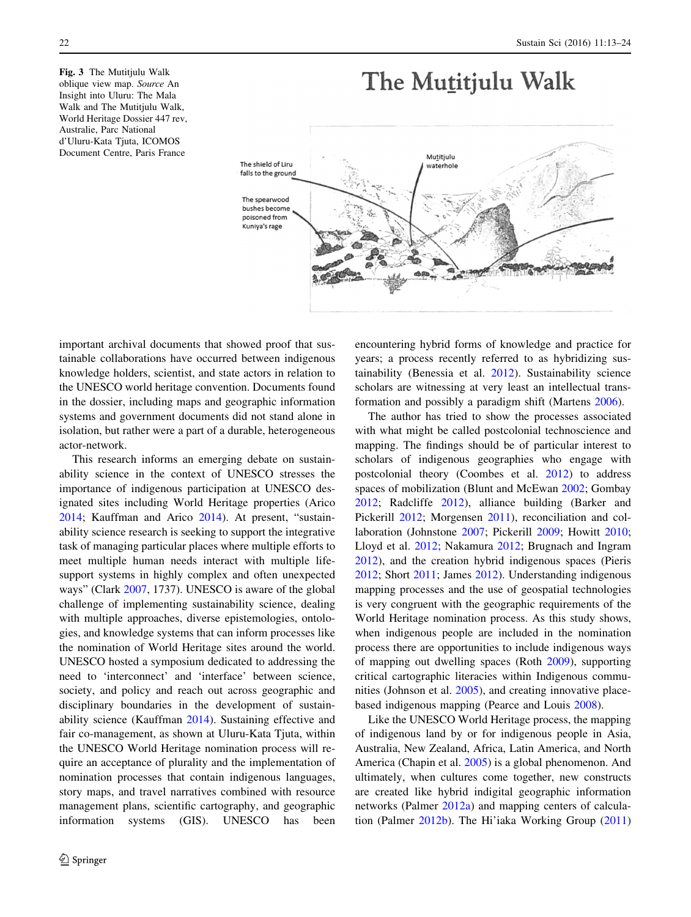<span id="page-9-0"></span>Fig. 3 The Mutitjulu Walk oblique view map. Source An Insight into Uluru: The Mala Walk and The Mutitjulu Walk, World Heritage Dossier 447 rev, Australie, Parc National d'Uluru-Kata Tjuta, ICOMOS Document Centre, Paris France

# The Mutitjulu Walk



important archival documents that showed proof that sustainable collaborations have occurred between indigenous knowledge holders, scientist, and state actors in relation to the UNESCO world heritage convention. Documents found in the dossier, including maps and geographic information systems and government documents did not stand alone in isolation, but rather were a part of a durable, heterogeneous actor-network.

This research informs an emerging debate on sustainability science in the context of UNESCO stresses the importance of indigenous participation at UNESCO designated sites including World Heritage properties (Arico [2014;](#page-10-0) Kauffman and Arico [2014](#page-11-0)). At present, "sustainability science research is seeking to support the integrative task of managing particular places where multiple efforts to meet multiple human needs interact with multiple lifesupport systems in highly complex and often unexpected ways" (Clark [2007,](#page-10-0) 1737). UNESCO is aware of the global challenge of implementing sustainability science, dealing with multiple approaches, diverse epistemologies, ontologies, and knowledge systems that can inform processes like the nomination of World Heritage sites around the world. UNESCO hosted a symposium dedicated to addressing the need to 'interconnect' and 'interface' between science, society, and policy and reach out across geographic and disciplinary boundaries in the development of sustainability science (Kauffman [2014\)](#page-11-0). Sustaining effective and fair co-management, as shown at Uluru-Kata Tjuta, within the UNESCO World Heritage nomination process will require an acceptance of plurality and the implementation of nomination processes that contain indigenous languages, story maps, and travel narratives combined with resource management plans, scientific cartography, and geographic information systems (GIS). UNESCO has been encountering hybrid forms of knowledge and practice for years; a process recently referred to as hybridizing sustainability (Benessia et al. [2012](#page-10-0)). Sustainability science scholars are witnessing at very least an intellectual transformation and possibly a paradigm shift (Martens [2006\)](#page-11-0).

The author has tried to show the processes associated with what might be called postcolonial technoscience and mapping. The findings should be of particular interest to scholars of indigenous geographies who engage with postcolonial theory (Coombes et al. [2012\)](#page-10-0) to address spaces of mobilization (Blunt and McEwan [2002](#page-10-0); Gombay [2012](#page-10-0); Radcliffe [2012](#page-11-0)), alliance building (Barker and Pickerill [2012](#page-10-0); Morgensen [2011\)](#page-11-0), reconciliation and collaboration (Johnstone [2007](#page-11-0); Pickerill [2009;](#page-11-0) Howitt [2010](#page-10-0); Lloyd et al. [2012](#page-11-0); Nakamura [2012;](#page-11-0) Brugnach and Ingram [2012](#page-10-0)), and the creation hybrid indigenous spaces (Pieris [2012](#page-11-0); Short [2011](#page-11-0); James [2012\)](#page-11-0). Understanding indigenous mapping processes and the use of geospatial technologies is very congruent with the geographic requirements of the World Heritage nomination process. As this study shows, when indigenous people are included in the nomination process there are opportunities to include indigenous ways of mapping out dwelling spaces (Roth [2009](#page-11-0)), supporting critical cartographic literacies within Indigenous communities (Johnson et al. [2005\)](#page-11-0), and creating innovative placebased indigenous mapping (Pearce and Louis [2008\)](#page-11-0).

Like the UNESCO World Heritage process, the mapping of indigenous land by or for indigenous people in Asia, Australia, New Zealand, Africa, Latin America, and North America (Chapin et al. [2005](#page-10-0)) is a global phenomenon. And ultimately, when cultures come together, new constructs are created like hybrid indigital geographic information networks (Palmer [2012a\)](#page-11-0) and mapping centers of calculation (Palmer [2012b](#page-11-0)). The Hi'iaka Working Group ([2011\)](#page-11-0)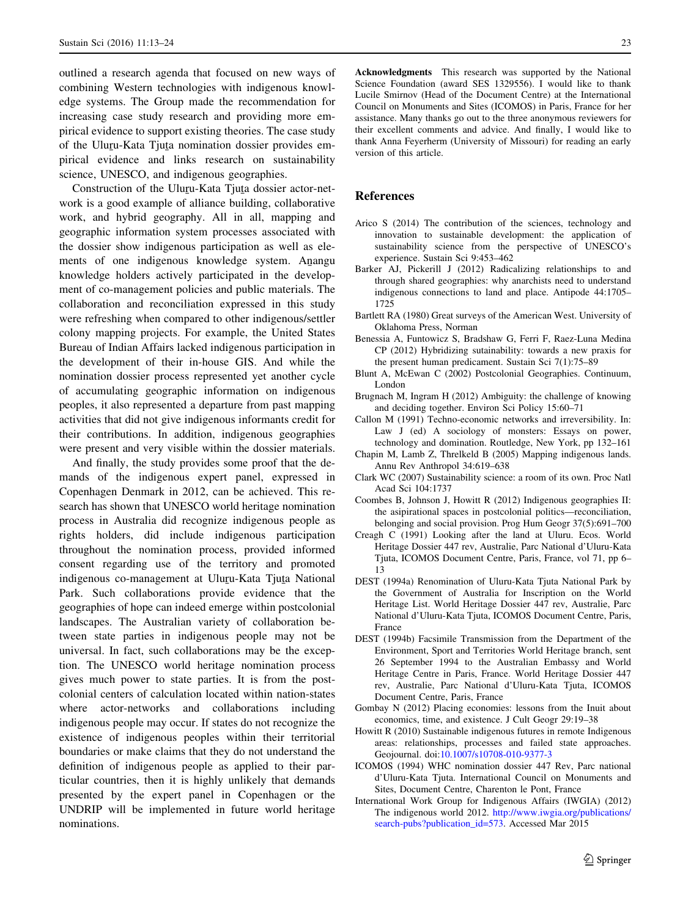<span id="page-10-0"></span>outlined a research agenda that focused on new ways of combining Western technologies with indigenous knowledge systems. The Group made the recommendation for increasing case study research and providing more empirical evidence to support existing theories. The case study of the Uluru-Kata Tjuta nomination dossier provides em-<br>piricel avidence and links research on sustainability pirical evidence and links research on sustainability science, UNESCO, and indigenous geographies.

Construction of the Uluru-Kata Tjuta dossier actor-net-<br>uk is a good avample of alliance huilding, callaborative work is a good example of alliance building, collaborative work, and hybrid geography. All in all, mapping and geographic information system processes associated with the dossier show indigenous participation as well as elements of one indigenous knowledge system. Anangu knowledge holders actively participated in the development of co-management policies and public materials. The collaboration and reconciliation expressed in this study were refreshing when compared to other indigenous/settler colony mapping projects. For example, the United States Bureau of Indian Affairs lacked indigenous participation in the development of their in-house GIS. And while the nomination dossier process represented yet another cycle of accumulating geographic information on indigenous peoples, it also represented a departure from past mapping activities that did not give indigenous informants credit for their contributions. In addition, indigenous geographies were present and very visible within the dossier materials.

And finally, the study provides some proof that the demands of the indigenous expert panel, expressed in Copenhagen Denmark in 2012, can be achieved. This research has shown that UNESCO world heritage nomination process in Australia did recognize indigenous people as rights holders, did include indigenous participation throughout the nomination process, provided informed consent regarding use of the territory and promoted indigenous co-management at Uluru-Kata Tjuta National<br>Perk Such collaborations provide quidance that the Park. Such collaborations provide evidence that the geographies of hope can indeed emerge within postcolonial landscapes. The Australian variety of collaboration between state parties in indigenous people may not be universal. In fact, such collaborations may be the exception. The UNESCO world heritage nomination process gives much power to state parties. It is from the postcolonial centers of calculation located within nation-states where actor-networks and collaborations including indigenous people may occur. If states do not recognize the existence of indigenous peoples within their territorial boundaries or make claims that they do not understand the definition of indigenous people as applied to their particular countries, then it is highly unlikely that demands presented by the expert panel in Copenhagen or the UNDRIP will be implemented in future world heritage nominations.

Acknowledgments This research was supported by the National Science Foundation (award SES 1329556). I would like to thank Lucile Smirnov (Head of the Document Centre) at the International Council on Monuments and Sites (ICOMOS) in Paris, France for her assistance. Many thanks go out to the three anonymous reviewers for their excellent comments and advice. And finally, I would like to thank Anna Feyerherm (University of Missouri) for reading an early version of this article.

#### References

- Arico S (2014) The contribution of the sciences, technology and innovation to sustainable development: the application of sustainability science from the perspective of UNESCO's experience. Sustain Sci 9:453–462
- Barker AJ, Pickerill J (2012) Radicalizing relationships to and through shared geographies: why anarchists need to understand indigenous connections to land and place. Antipode 44:1705– 1725
- Bartlett RA (1980) Great surveys of the American West. University of Oklahoma Press, Norman
- Benessia A, Funtowicz S, Bradshaw G, Ferri F, Raez-Luna Medina CP (2012) Hybridizing sutainability: towards a new praxis for the present human predicament. Sustain Sci 7(1):75–89
- Blunt A, McEwan C (2002) Postcolonial Geographies. Continuum, London
- Brugnach M, Ingram H (2012) Ambiguity: the challenge of knowing and deciding together. Environ Sci Policy 15:60–71
- Callon M (1991) Techno-economic networks and irreversibility. In: Law J (ed) A sociology of monsters: Essays on power, technology and domination. Routledge, New York, pp 132–161
- Chapin M, Lamb Z, Threlkeld B (2005) Mapping indigenous lands. Annu Rev Anthropol 34:619–638
- Clark WC (2007) Sustainability science: a room of its own. Proc Natl Acad Sci 104:1737
- Coombes B, Johnson J, Howitt R (2012) Indigenous geographies II: the asipirational spaces in postcolonial politics—reconciliation, belonging and social provision. Prog Hum Geogr 37(5):691–700
- Creagh C (1991) Looking after the land at Uluru. Ecos. World Heritage Dossier 447 rev, Australie, Parc National d'Uluru-Kata Tjuta, ICOMOS Document Centre, Paris, France, vol 71, pp 6– 13
- DEST (1994a) Renomination of Uluru-Kata Tjuta National Park by the Government of Australia for Inscription on the World Heritage List. World Heritage Dossier 447 rev, Australie, Parc National d'Uluru-Kata Tjuta, ICOMOS Document Centre, Paris, France
- DEST (1994b) Facsimile Transmission from the Department of the Environment, Sport and Territories World Heritage branch, sent 26 September 1994 to the Australian Embassy and World Heritage Centre in Paris, France. World Heritage Dossier 447 rev, Australie, Parc National d'Uluru-Kata Tjuta, ICOMOS Document Centre, Paris, France
- Gombay N (2012) Placing economies: lessons from the Inuit about economics, time, and existence. J Cult Geogr 29:19–38
- Howitt R (2010) Sustainable indigenous futures in remote Indigenous areas: relationships, processes and failed state approaches. Geojournal. doi:[10.1007/s10708-010-9377-3](http://dx.doi.org/10.1007/s10708-010-9377-3)
- ICOMOS (1994) WHC nomination dossier 447 Rev, Parc national d'Uluru-Kata Tjuta. International Council on Monuments and Sites, Document Centre, Charenton le Pont, France
- International Work Group for Indigenous Affairs (IWGIA) (2012) The indigenous world 2012. [http://www.iwgia.org/publications/](http://www.iwgia.org/publications/search-pubs?publication_id=573) [search-pubs?publication\\_id=573](http://www.iwgia.org/publications/search-pubs?publication_id=573). Accessed Mar 2015